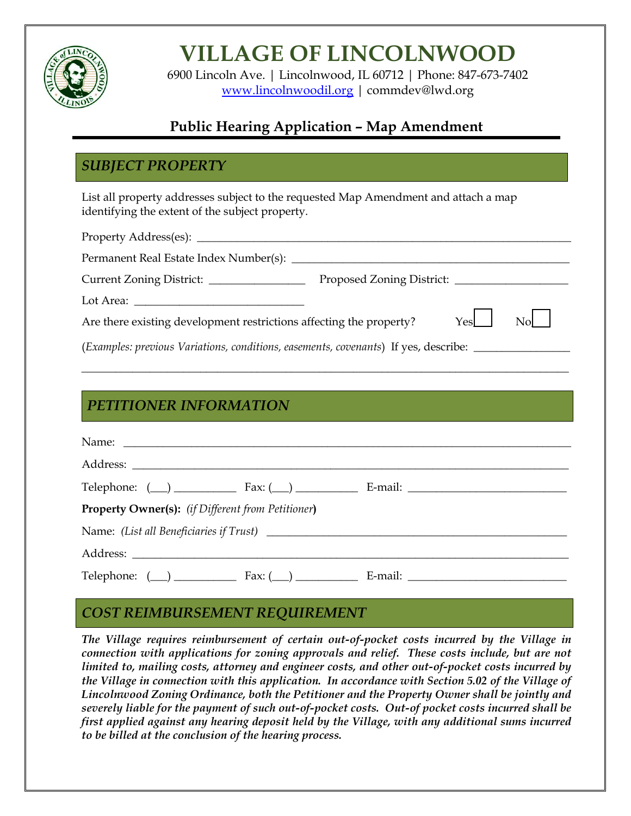

# **VILLAGE OF LINCOLNWOOD**

6900 Lincoln Ave. | Lincolnwood, IL 60712 | Phone: 847-673-7402 [www.lincolnwoodil.org](http://www.lincolnwoodil.org/) | commdev@lwd.org

# **Public Hearing Application – Map Amendment**

### *SUBJECT PROPERTY*

ACTION

List all property addresses subject to the requested Map Amendment and attach a map identifying the extent of the subject property.

| Yes<br>Are there existing development restrictions affecting the property?                                                                         |  |
|----------------------------------------------------------------------------------------------------------------------------------------------------|--|
| (Examples: previous Variations, conditions, easements, covenants) If yes, describe:                                                                |  |
|                                                                                                                                                    |  |
|                                                                                                                                                    |  |
| $\bf \Gamma \Gamma \Gamma \Gamma \cap \bf \Gamma \Gamma \Gamma \cap \bf \Gamma \Gamma \Gamma \cap \bf \Gamma \Gamma \Gamma \cap \bf \Gamma \Gamma$ |  |

#### *PETITIONER INFORMATION*

|                                                   | Telephone: $(\_\)$ Fax: $(\_\)$ Fax: $(\_\)$ E-mail: $\_\_$    |
|---------------------------------------------------|----------------------------------------------------------------|
| Property Owner(s): (if Different from Petitioner) |                                                                |
|                                                   |                                                                |
|                                                   |                                                                |
|                                                   | Telephone: $(\_\_)$ Fax: $(\_\_)$ Fax: $(\_\_)$ E-mail: $\_\_$ |

#### *COST REIMBURSEMENT REQUIREMENT*

*The Village requires reimbursement of certain out-of-pocket costs incurred by the Village in connection with applications for zoning approvals and relief. These costs include, but are not limited to, mailing costs, attorney and engineer costs, and other out-of-pocket costs incurred by the Village in connection with this application. In accordance with Section 5.02 of the Village of Lincolnwood Zoning Ordinance, both the Petitioner and the Property Owner shall be jointly and severely liable for the payment of such out-of-pocket costs. Out-of pocket costs incurred shall be first applied against any hearing deposit held by the Village, with any additional sums incurred to be billed at the conclusion of the hearing process.*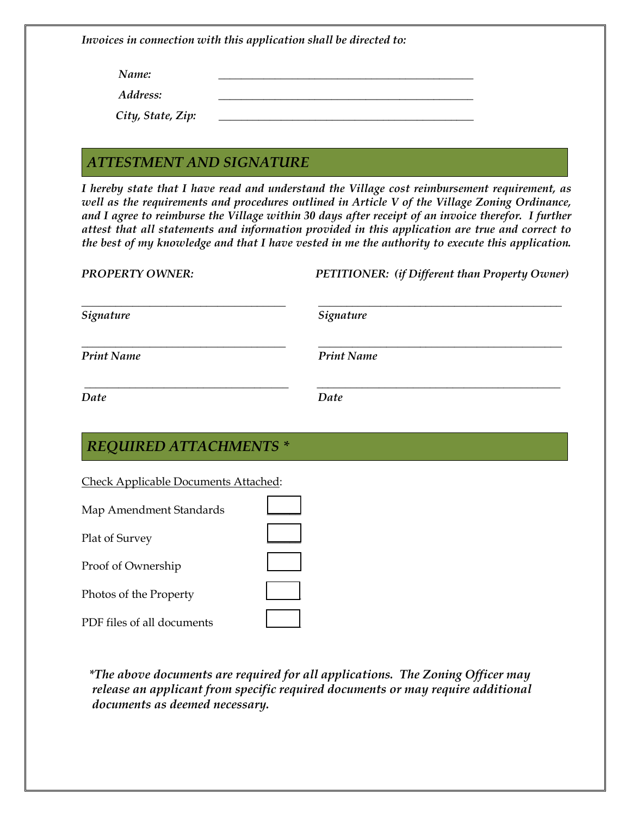*Invoices in connection with this application shall be directed to:*

*Name:* 2008. 2008. 2008. 2008. 2008. 2010. 2010. 2010. 2010. 2010. 2010. 2010. 2010. 2010. 2010. 2010. 2010. 2010. 2010. 2010. 2010. 2010. 2010. 2010. 2010. 2010. 2010. 2010. 2010. 2010. 2010. 2010. 2010. 2010. 2010. 2010

*Address: \_\_\_\_\_\_\_\_\_\_\_\_\_\_\_\_\_\_\_\_\_\_\_\_\_\_\_\_\_\_\_\_\_\_\_\_\_\_\_\_\_\_\_\_\_*

 *City, State, Zip: \_\_\_\_\_\_\_\_\_\_\_\_\_\_\_\_\_\_\_\_\_\_\_\_\_\_\_\_\_\_\_\_\_\_\_\_\_\_\_\_\_\_\_\_\_*

#### *ATTESTMENT AND SIGNATURE*

*I hereby state that I have read and understand the Village cost reimbursement requirement, as well as the requirements and procedures outlined in Article V of the Village Zoning Ordinance, and I agree to reimburse the Village within 30 days after receipt of an invoice therefor. I further attest that all statements and information provided in this application are true and correct to the best of my knowledge and that I have vested in me the authority to execute this application.*

| <b>PROPERTY OWNER:</b> | PETITIONER: (if Different than Property Owner) |  |  |
|------------------------|------------------------------------------------|--|--|
| Signature              | Signature                                      |  |  |
| <b>Print Name</b>      | <b>Print Name</b>                              |  |  |
| Date                   | Date                                           |  |  |
|                        |                                                |  |  |

#### *REQUIRED ATTACHMENTS \**

Check Applicable Documents Attached:

| Map Amendment Standards    |  |
|----------------------------|--|
| Plat of Survey             |  |
| Proof of Ownership         |  |
| Photos of the Property     |  |
| PDF files of all documents |  |

*\*The above documents are required for all applications. The Zoning Officer may release an applicant from specific required documents or may require additional documents as deemed necessary.*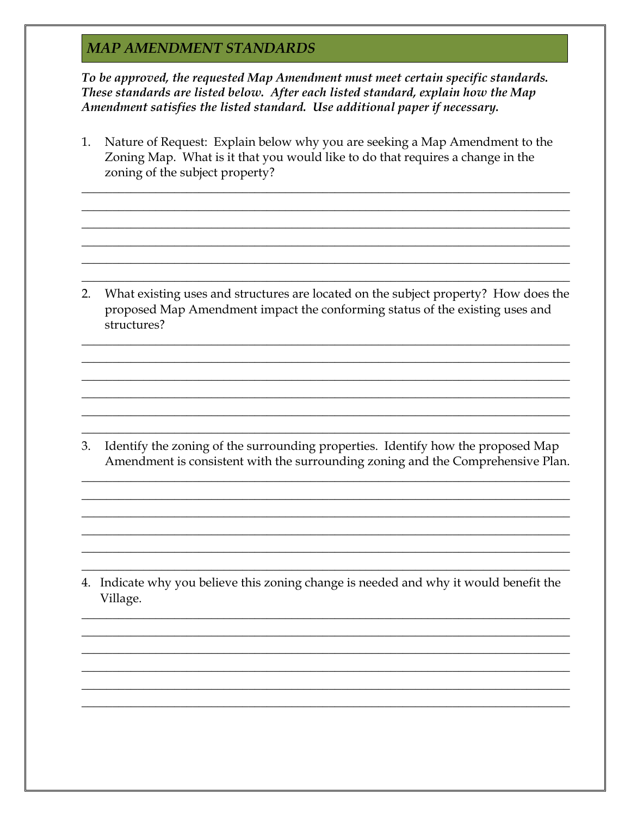#### **MAP AMENDMENT STANDARDS**

To be approved, the requested Map Amendment must meet certain specific standards. These standards are listed below. After each listed standard, explain how the Map Amendment satisfies the listed standard. Use additional paper if necessary.

Nature of Request: Explain below why you are seeking a Map Amendment to the 1. Zoning Map. What is it that you would like to do that requires a change in the zoning of the subject property?

What existing uses and structures are located on the subject property? How does the  $2.$ proposed Map Amendment impact the conforming status of the existing uses and structures?

Identify the zoning of the surrounding properties. Identify how the proposed Map 3. Amendment is consistent with the surrounding zoning and the Comprehensive Plan.

4. Indicate why you believe this zoning change is needed and why it would benefit the Village.